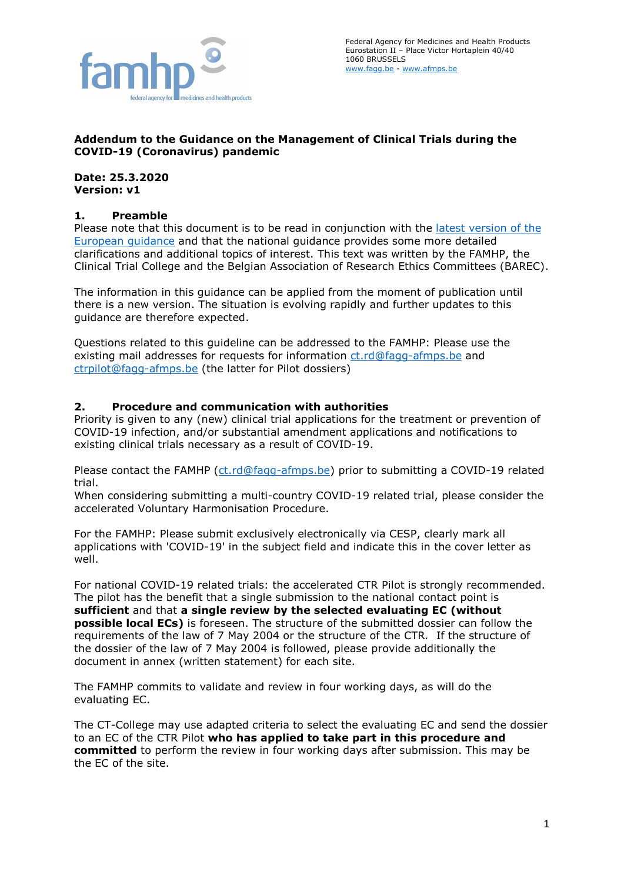

### **Addendum to the Guidance on the Management of Clinical Trials during the COVID-19 (Coronavirus) pandemic**

**Date: 25.3.2020 Version: v1**

#### **1. Preamble**

Please note that this document is to be read in conjunction with the [latest version of the](https://ec.europa.eu/health/sites/health/files/files/eudralex/vol-10/guidanceclinicaltrials_covid19_en.pdf)  [European guidance](https://ec.europa.eu/health/sites/health/files/files/eudralex/vol-10/guidanceclinicaltrials_covid19_en.pdf) and that the national guidance provides some more detailed clarifications and additional topics of interest. This text was written by the FAMHP, the Clinical Trial College and the Belgian Association of Research Ethics Committees (BAREC).

The information in this guidance can be applied from the moment of publication until there is a new version. The situation is evolving rapidly and further updates to this guidance are therefore expected.

Questions related to this guideline can be addressed to the FAMHP: Please use the existing mail addresses for requests for information [ct.rd@fagg-afmps.be](mailto:ct.rd@fagg-afmps.be) and [ctrpilot@fagg-afmps.be](mailto:ctrpilot@fagg-afmps.be) (the latter for Pilot dossiers)

### **2. Procedure and communication with authorities**

Priority is given to any (new) clinical trial applications for the treatment or prevention of COVID-19 infection, and/or substantial amendment applications and notifications to existing clinical trials necessary as a result of COVID-19.

Please contact the FAMHP [\(ct.rd@fagg-afmps.be\)](mailto:ct.rd@fagg-afmps.be) prior to submitting a COVID-19 related trial.

When considering submitting a multi-country COVID-19 related trial, please consider the accelerated Voluntary Harmonisation Procedure.

For the FAMHP: Please submit exclusively electronically via CESP, clearly mark all applications with 'COVID-19' in the subject field and indicate this in the cover letter as well.

For national COVID-19 related trials: the accelerated CTR Pilot is strongly recommended. The pilot has the benefit that a single submission to the national contact point is **sufficient** and that **a single review by the selected evaluating EC (without possible local ECs)** is foreseen. The structure of the submitted dossier can follow the requirements of the law of 7 May 2004 or the structure of the CTR*.* If the structure of the dossier of the law of 7 May 2004 is followed, please provide additionally the document in annex (written statement) for each site.

The FAMHP commits to validate and review in four working days, as will do the evaluating EC.

The CT-College may use adapted criteria to select the evaluating EC and send the dossier to an EC of the CTR Pilot **who has applied to take part in this procedure and committed** to perform the review in four working days after submission. This may be the EC of the site.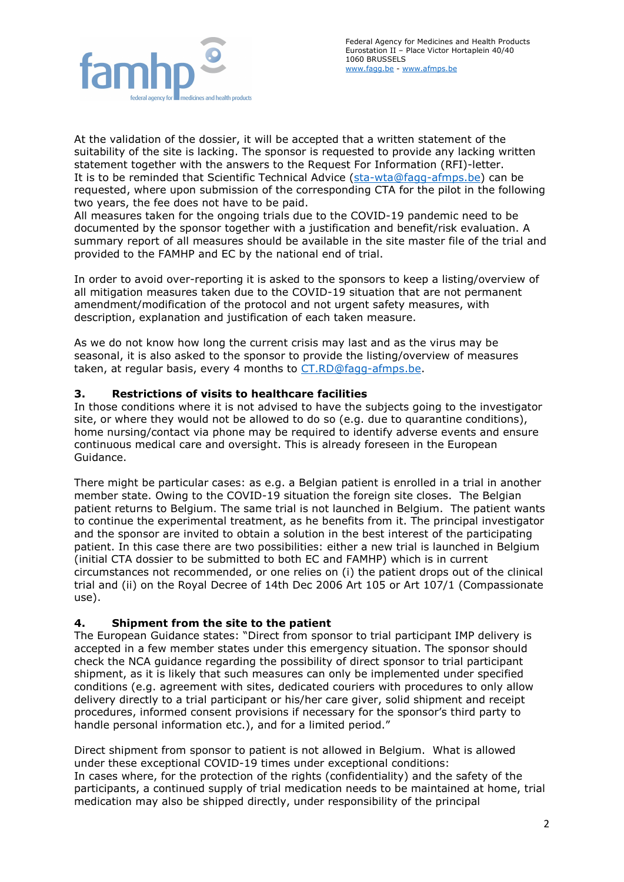

At the validation of the dossier, it will be accepted that a written statement of the suitability of the site is lacking. The sponsor is requested to provide any lacking written statement together with the answers to the Request For Information (RFI)-letter. It is to be reminded that Scientific Technical Advice (sta-wta@fagg-afmps.be) can be requested, where upon submission of the corresponding CTA for the pilot in the following two years, the fee does not have to be paid.

All measures taken for the ongoing trials due to the COVID-19 pandemic need to be documented by the sponsor together with a justification and benefit/risk evaluation. A summary report of all measures should be available in the site master file of the trial and provided to the FAMHP and EC by the national end of trial.

In order to avoid over-reporting it is asked to the sponsors to keep a listing/overview of all mitigation measures taken due to the COVID-19 situation that are not permanent amendment/modification of the protocol and not urgent safety measures, with description, explanation and justification of each taken measure.

As we do not know how long the current crisis may last and as the virus may be seasonal, it is also asked to the sponsor to provide the listing/overview of measures taken, at regular basis, every 4 months to [CT.RD@fagg-afmps.be.](mailto:CT.RD@fagg-afmps.be)

# **3. Restrictions of visits to healthcare facilities**

In those conditions where it is not advised to have the subjects going to the investigator site, or where they would not be allowed to do so (e.g. due to quarantine conditions), home nursing/contact via phone may be required to identify adverse events and ensure continuous medical care and oversight. This is already foreseen in the European Guidance.

There might be particular cases: as e.g. a Belgian patient is enrolled in a trial in another member state. Owing to the COVID-19 situation the foreign site closes. The Belgian patient returns to Belgium. The same trial is not launched in Belgium. The patient wants to continue the experimental treatment, as he benefits from it. The principal investigator and the sponsor are invited to obtain a solution in the best interest of the participating patient. In this case there are two possibilities: either a new trial is launched in Belgium (initial CTA dossier to be submitted to both EC and FAMHP) which is in current circumstances not recommended, or one relies on (i) the patient drops out of the clinical trial and (ii) on the Royal Decree of 14th Dec 2006 Art 105 or Art 107/1 (Compassionate use).

## **4. Shipment from the site to the patient**

The European Guidance states: "Direct from sponsor to trial participant IMP delivery is accepted in a few member states under this emergency situation. The sponsor should check the NCA guidance regarding the possibility of direct sponsor to trial participant shipment, as it is likely that such measures can only be implemented under specified conditions (e.g. agreement with sites, dedicated couriers with procedures to only allow delivery directly to a trial participant or his/her care giver, solid shipment and receipt procedures, informed consent provisions if necessary for the sponsor's third party to handle personal information etc.), and for a limited period."

Direct shipment from sponsor to patient is not allowed in Belgium. What is allowed under these exceptional COVID-19 times under exceptional conditions: In cases where, for the protection of the rights (confidentiality) and the safety of the participants, a continued supply of trial medication needs to be maintained at home, trial medication may also be shipped directly, under responsibility of the principal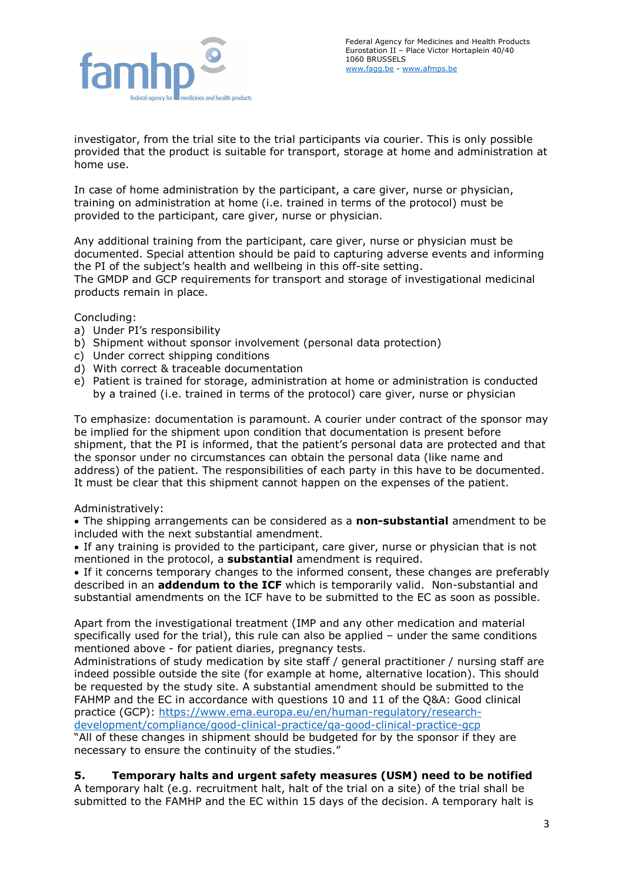

investigator, from the trial site to the trial participants via courier. This is only possible provided that the product is suitable for transport, storage at home and administration at home use.

In case of home administration by the participant, a care giver, nurse or physician, training on administration at home (i.e. trained in terms of the protocol) must be provided to the participant, care giver, nurse or physician.

Any additional training from the participant, care giver, nurse or physician must be documented. Special attention should be paid to capturing adverse events and informing the PI of the subject's health and wellbeing in this off-site setting.

The GMDP and GCP requirements for transport and storage of investigational medicinal products remain in place.

Concluding:

- a) Under PI's responsibility
- b) Shipment without sponsor involvement (personal data protection)
- c) Under correct shipping conditions
- d) With correct & traceable documentation
- e) Patient is trained for storage, administration at home or administration is conducted by a trained (i.e. trained in terms of the protocol) care giver, nurse or physician

To emphasize: documentation is paramount. A courier under contract of the sponsor may be implied for the shipment upon condition that documentation is present before shipment, that the PI is informed, that the patient's personal data are protected and that the sponsor under no circumstances can obtain the personal data (like name and address) of the patient. The responsibilities of each party in this have to be documented. It must be clear that this shipment cannot happen on the expenses of the patient.

## Administratively:

• The shipping arrangements can be considered as a **non-substantial** amendment to be included with the next substantial amendment.

• If any training is provided to the participant, care giver, nurse or physician that is not mentioned in the protocol, a **substantial** amendment is required.

• If it concerns temporary changes to the informed consent, these changes are preferably described in an **addendum to the ICF** which is temporarily valid. Non-substantial and substantial amendments on the ICF have to be submitted to the EC as soon as possible.

Apart from the investigational treatment (IMP and any other medication and material specifically used for the trial), this rule can also be applied – under the same conditions mentioned above - for patient diaries, pregnancy tests.

Administrations of study medication by site staff / general practitioner / nursing staff are indeed possible outside the site (for example at home, alternative location). This should be requested by the study site. A substantial amendment should be submitted to the FAHMP and the EC in accordance with questions 10 and 11 of the Q&A: Good clinical practice (GCP): [https://www.ema.europa.eu/en/human-regulatory/research](https://www.ema.europa.eu/en/human-regulatory/research-development/compliance/good-clinical-practice/qa-good-clinical-practice-gcp)[development/compliance/good-clinical-practice/qa-good-clinical-practice-gcp](https://www.ema.europa.eu/en/human-regulatory/research-development/compliance/good-clinical-practice/qa-good-clinical-practice-gcp)

"All of these changes in shipment should be budgeted for by the sponsor if they are necessary to ensure the continuity of the studies."

#### **5. Temporary halts and urgent safety measures (USM) need to be notified**

A temporary halt (e.g. recruitment halt, halt of the trial on a site) of the trial shall be submitted to the FAMHP and the EC within 15 days of the decision. A temporary halt is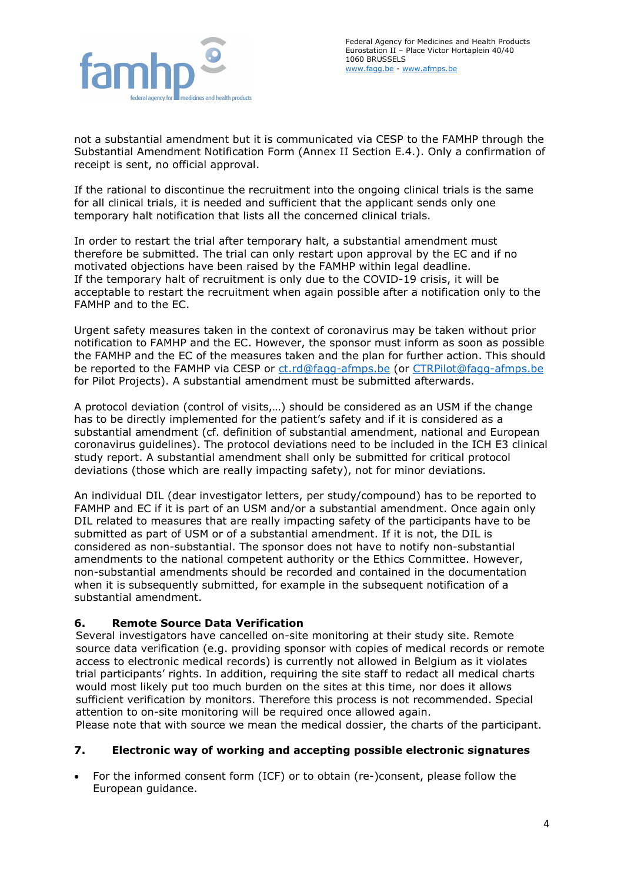

not a substantial amendment but it is communicated via CESP to the FAMHP through the Substantial Amendment Notification Form (Annex II Section E.4.). Only a confirmation of receipt is sent, no official approval.

If the rational to discontinue the recruitment into the ongoing clinical trials is the same for all clinical trials, it is needed and sufficient that the applicant sends only one temporary halt notification that lists all the concerned clinical trials.

In order to restart the trial after temporary halt, a substantial amendment must therefore be submitted. The trial can only restart upon approval by the EC and if no motivated objections have been raised by the FAMHP within legal deadline. If the temporary halt of recruitment is only due to the COVID-19 crisis, it will be acceptable to restart the recruitment when again possible after a notification only to the FAMHP and to the EC.

Urgent safety measures taken in the context of coronavirus may be taken without prior notification to FAMHP and the EC. However, the sponsor must inform as soon as possible the FAMHP and the EC of the measures taken and the plan for further action. This should be reported to the FAMHP via CESP or [ct.rd@fagg-afmps.be](mailto:ct.rd@fagg-afmps.be) (or [CTRPilot@fagg-afmps.be](mailto:CTRPilot@fagg-afmps.be) for Pilot Projects). A substantial amendment must be submitted afterwards.

A protocol deviation (control of visits,…) should be considered as an USM if the change has to be directly implemented for the patient's safety and if it is considered as a substantial amendment (cf. definition of substantial amendment, national and European coronavirus guidelines). The protocol deviations need to be included in the ICH E3 clinical study report. A substantial amendment shall only be submitted for critical protocol deviations (those which are really impacting safety), not for minor deviations.

An individual DIL (dear investigator letters, per study/compound) has to be reported to FAMHP and EC if it is part of an USM and/or a substantial amendment. Once again only DIL related to measures that are really impacting safety of the participants have to be submitted as part of USM or of a substantial amendment. If it is not, the DIL is considered as non-substantial. The sponsor does not have to notify non-substantial amendments to the national competent authority or the Ethics Committee. However, non-substantial amendments should be recorded and contained in the documentation when it is subsequently submitted, for example in the subsequent notification of a substantial amendment.

## **6. Remote Source Data Verification**

Several investigators have cancelled on-site monitoring at their study site. Remote source data verification (e.g. providing sponsor with copies of medical records or remote access to electronic medical records) is currently not allowed in Belgium as it violates trial participants' rights. In addition, requiring the site staff to redact all medical charts would most likely put too much burden on the sites at this time, nor does it allows sufficient verification by monitors. Therefore this process is not recommended. Special attention to on-site monitoring will be required once allowed again.

Please note that with source we mean the medical dossier, the charts of the participant.

## **7. Electronic way of working and accepting possible electronic signatures**

• For the informed consent form (ICF) or to obtain (re-)consent, please follow the European guidance.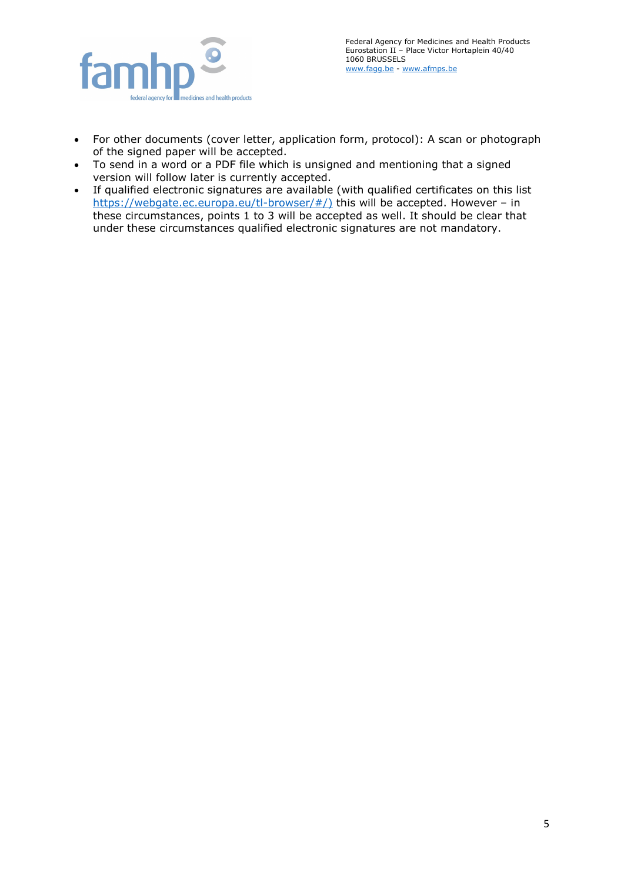

- For other documents (cover letter, application form, protocol): A scan or photograph of the signed paper will be accepted.
- To send in a word or a PDF file which is unsigned and mentioning that a signed version will follow later is currently accepted.
- If qualified electronic signatures are available (with qualified certificates on this list [https://webgate.ec.europa.eu/tl-browser/#/\)](https://webgate.ec.europa.eu/tl-browser/#/) this will be accepted. However - in these circumstances, points 1 to 3 will be accepted as well. It should be clear that under these circumstances qualified electronic signatures are not mandatory.